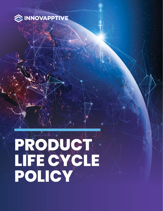

# **PRODUCT LIFE CYCLE POLICY**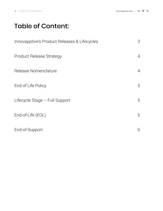## Table of Content:

| Innovapptive's Product Releases & Lifecycles | 3              |
|----------------------------------------------|----------------|
| <b>Product Release Strategy</b>              | $\overline{4}$ |
| Release Nomenclature                         | $\overline{4}$ |
| End of Life Policy                           | 5              |
| Lifecycle Stage - Full Support               | 5              |
| End-of-Life (EOL)                            | 5              |
| End-of-Support                               | 6              |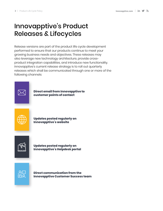# <span id="page-2-0"></span>Innovapptive's Product Releases & Lifecycles

Release versions are part of the product life cycle development performed to ensure that our products continue to meet your growing business needs and objectives. These releases may also leverage new technology architecture, provide crossproduct integration capabilities, and introduce new functionality. Innovapptive's current release strategy is to roll out quarterly releases which shall be communicated through one or more of the following channels:



**Direct email from Innovapptive to customer points of contact** 



**Updates posted regularly on Innovapptive's website** 



**Updates posted regularly on Innovapptive's Helpdesk portal**



**Direct communication from the Innovapptive Customer Success team**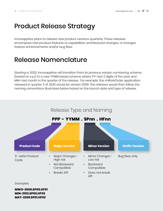# <span id="page-3-0"></span>Product Release Strategy

Innovapptive plans to release new product versions quarterly. These releases encompass new product features or capabilities, architectural changes, UI changes, feature enhancements and/or bug fixes.

#### Release Nomenclature

Starting in 2020, Innovapptive will transition from its previous version numbering scheme (based on x.y.z) to a new YYMM based scheme where YY= last 2 digits of the year and MM= last month in the quarter of the release. For example, the mWorkOrder application released in quarter 3 of 2020 would be version 2009. The releases would then follow the naming conventions illustrated below based on the launch date and type of release.



Examples:

**MWO-2009.SP05.HF01 MIN-2103.SP00.HF02 MAT-2209.SP01.HF02**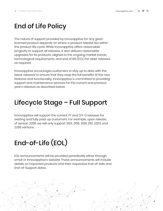# <span id="page-4-0"></span>End of Life Policy

The nature of support provided by Innovapptive for any given licensed product depends on where a product release lies within the product life cycle. While Innovapptive offers reasonable longevity to support all releases, it also delivers reasonable upgrades for its products, aligned to the ongoing market trends, technological requirements, and end of life (EOL) for older releases as required.

Innovapptive encourages customers to stay up to date with the latest releases to ensure that they reap the full benefits of the new features and functionality. Innovapptive is committed to providing support and maintenance services for the current and previous year's releases as described below.

# Lifecycle Stage – Full Support

Innovapptive will support the current YY and (YY-1) releases for existing and fully paid-up customers. For example, upon release of version 2206, we will only support 2103, 2106, 2109, 2112, 2203, and 2206 versions.

# End-of-Life (EOL)

EOL announcements will be provided periodically either through email or Innovapptive's website. These announcements will include details on impacted products and their respective End-of-Sale and End-of-Support dates.